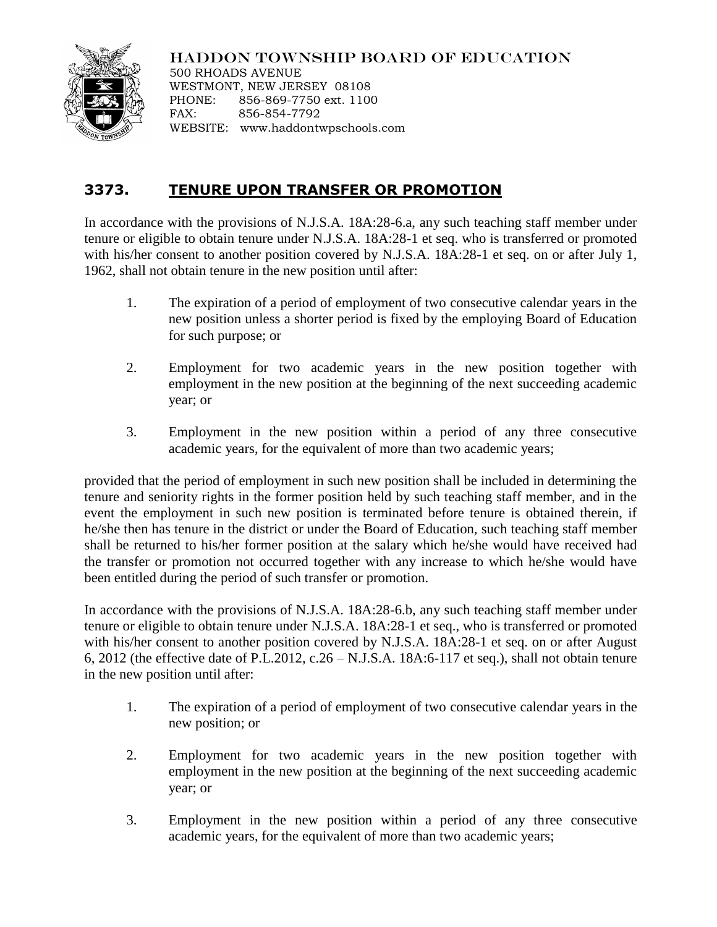## HADDON TOWNSHIP BOARD OF EDUCATION



500 RHOADS AVENUE WESTMONT, NEW JERSEY 08108 PHONE: 856-869-7750 ext. 1100 FAX: 856-854-7792 WEBSITE: www.haddontwpschools.com

## **3373. TENURE UPON TRANSFER OR PROMOTION**

In accordance with the provisions of N.J.S.A. 18A:28-6.a, any such teaching staff member under tenure or eligible to obtain tenure under N.J.S.A. 18A:28-1 et seq. who is transferred or promoted with his/her consent to another position covered by N.J.S.A. 18A:28-1 et seq. on or after July 1, 1962, shall not obtain tenure in the new position until after:

- 1. The expiration of a period of employment of two consecutive calendar years in the new position unless a shorter period is fixed by the employing Board of Education for such purpose; or
- 2. Employment for two academic years in the new position together with employment in the new position at the beginning of the next succeeding academic year; or
- 3. Employment in the new position within a period of any three consecutive academic years, for the equivalent of more than two academic years;

provided that the period of employment in such new position shall be included in determining the tenure and seniority rights in the former position held by such teaching staff member, and in the event the employment in such new position is terminated before tenure is obtained therein, if he/she then has tenure in the district or under the Board of Education, such teaching staff member shall be returned to his/her former position at the salary which he/she would have received had the transfer or promotion not occurred together with any increase to which he/she would have been entitled during the period of such transfer or promotion.

In accordance with the provisions of N.J.S.A. 18A:28-6.b, any such teaching staff member under tenure or eligible to obtain tenure under N.J.S.A. 18A:28-1 et seq., who is transferred or promoted with his/her consent to another position covered by N.J.S.A. 18A:28-1 et seq. on or after August 6, 2012 (the effective date of P.L.2012, c.26 – N.J.S.A. 18A:6-117 et seq.), shall not obtain tenure in the new position until after:

- 1. The expiration of a period of employment of two consecutive calendar years in the new position; or
- 2. Employment for two academic years in the new position together with employment in the new position at the beginning of the next succeeding academic year; or
- 3. Employment in the new position within a period of any three consecutive academic years, for the equivalent of more than two academic years;